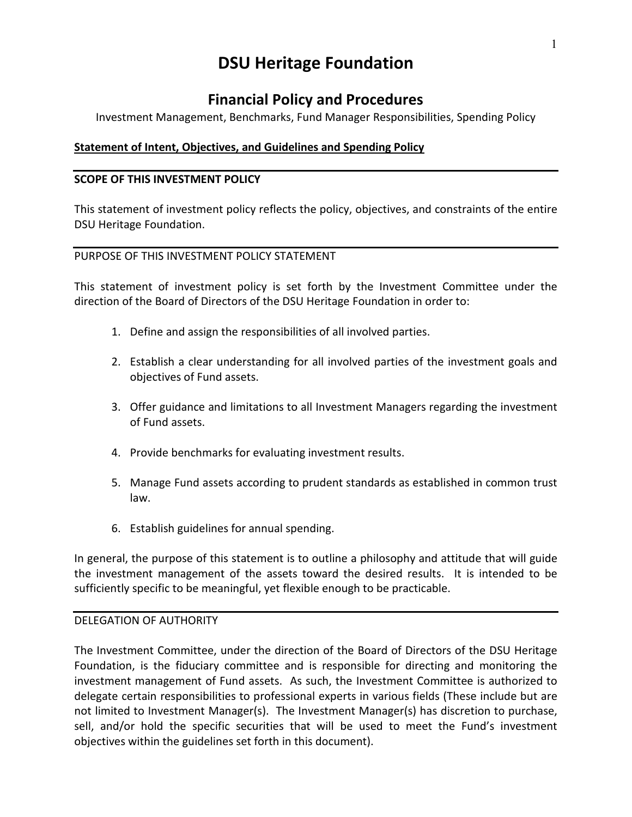# **DSU Heritage Foundation**

## **Financial Policy and Procedures**

Investment Management, Benchmarks, Fund Manager Responsibilities, Spending Policy

## **Statement of Intent, Objectives, and Guidelines and Spending Policy**

## **SCOPE OF THIS INVESTMENT POLICY**

This statement of investment policy reflects the policy, objectives, and constraints of the entire DSU Heritage Foundation.

## PURPOSE OF THIS INVESTMENT POLICY STATEMENT

This statement of investment policy is set forth by the Investment Committee under the direction of the Board of Directors of the DSU Heritage Foundation in order to:

- 1. Define and assign the responsibilities of all involved parties.
- 2. Establish a clear understanding for all involved parties of the investment goals and objectives of Fund assets.
- 3. Offer guidance and limitations to all Investment Managers regarding the investment of Fund assets.
- 4. Provide benchmarks for evaluating investment results.
- 5. Manage Fund assets according to prudent standards as established in common trust law.
- 6. Establish guidelines for annual spending.

In general, the purpose of this statement is to outline a philosophy and attitude that will guide the investment management of the assets toward the desired results. It is intended to be sufficiently specific to be meaningful, yet flexible enough to be practicable.

## DELEGATION OF AUTHORITY

The Investment Committee, under the direction of the Board of Directors of the DSU Heritage Foundation, is the fiduciary committee and is responsible for directing and monitoring the investment management of Fund assets. As such, the Investment Committee is authorized to delegate certain responsibilities to professional experts in various fields (These include but are not limited to Investment Manager(s). The Investment Manager(s) has discretion to purchase, sell, and/or hold the specific securities that will be used to meet the Fund's investment objectives within the guidelines set forth in this document).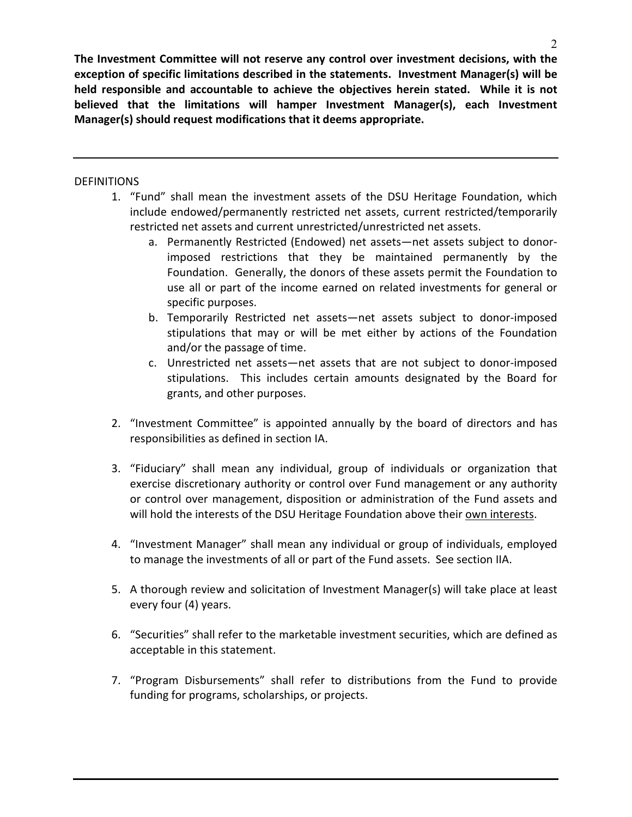**The Investment Committee will not reserve any control over investment decisions, with the exception of specific limitations described in the statements. Investment Manager(s) will be held responsible and accountable to achieve the objectives herein stated. While it is not believed that the limitations will hamper Investment Manager(s), each Investment Manager(s) should request modifications that it deems appropriate.**

## **DEFINITIONS**

- 1. "Fund" shall mean the investment assets of the DSU Heritage Foundation, which include endowed/permanently restricted net assets, current restricted/temporarily restricted net assets and current unrestricted/unrestricted net assets.
	- a. Permanently Restricted (Endowed) net assets—net assets subject to donorimposed restrictions that they be maintained permanently by the Foundation. Generally, the donors of these assets permit the Foundation to use all or part of the income earned on related investments for general or specific purposes.
	- b. Temporarily Restricted net assets—net assets subject to donor-imposed stipulations that may or will be met either by actions of the Foundation and/or the passage of time.
	- c. Unrestricted net assets—net assets that are not subject to donor-imposed stipulations. This includes certain amounts designated by the Board for grants, and other purposes.
- 2. "Investment Committee" is appointed annually by the board of directors and has responsibilities as defined in section IA.
- 3. "Fiduciary" shall mean any individual, group of individuals or organization that exercise discretionary authority or control over Fund management or any authority or control over management, disposition or administration of the Fund assets and will hold the interests of the DSU Heritage Foundation above their own interests.
- 4. "Investment Manager" shall mean any individual or group of individuals, employed to manage the investments of all or part of the Fund assets. See section IIA.
- 5. A thorough review and solicitation of Investment Manager(s) will take place at least every four (4) years.
- 6. "Securities" shall refer to the marketable investment securities, which are defined as acceptable in this statement.
- 7. "Program Disbursements" shall refer to distributions from the Fund to provide funding for programs, scholarships, or projects.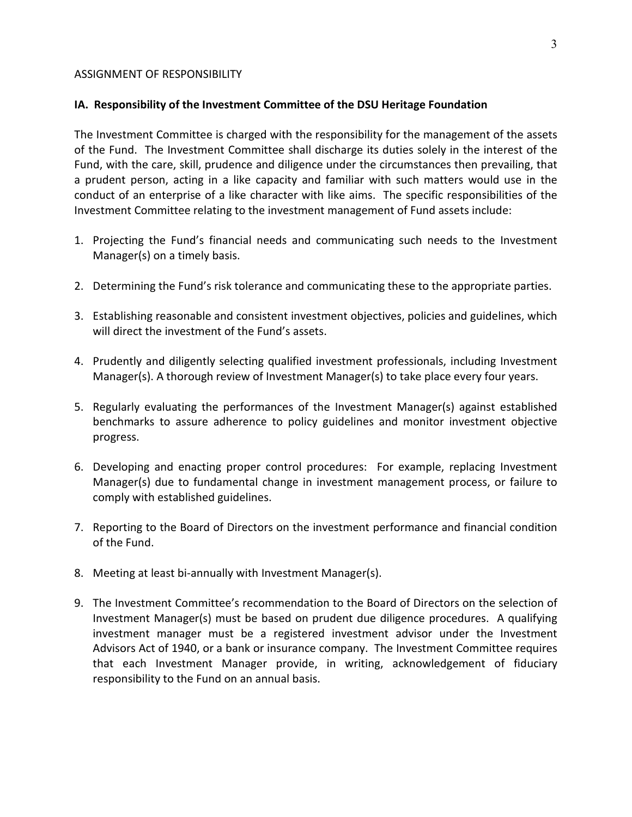#### ASSIGNMENT OF RESPONSIBILITY

#### **IA. Responsibility of the Investment Committee of the DSU Heritage Foundation**

The Investment Committee is charged with the responsibility for the management of the assets of the Fund. The Investment Committee shall discharge its duties solely in the interest of the Fund, with the care, skill, prudence and diligence under the circumstances then prevailing, that a prudent person, acting in a like capacity and familiar with such matters would use in the conduct of an enterprise of a like character with like aims. The specific responsibilities of the Investment Committee relating to the investment management of Fund assets include:

- 1. Projecting the Fund's financial needs and communicating such needs to the Investment Manager(s) on a timely basis.
- 2. Determining the Fund's risk tolerance and communicating these to the appropriate parties.
- 3. Establishing reasonable and consistent investment objectives, policies and guidelines, which will direct the investment of the Fund's assets.
- 4. Prudently and diligently selecting qualified investment professionals, including Investment Manager(s). A thorough review of Investment Manager(s) to take place every four years.
- 5. Regularly evaluating the performances of the Investment Manager(s) against established benchmarks to assure adherence to policy guidelines and monitor investment objective progress.
- 6. Developing and enacting proper control procedures: For example, replacing Investment Manager(s) due to fundamental change in investment management process, or failure to comply with established guidelines.
- 7. Reporting to the Board of Directors on the investment performance and financial condition of the Fund.
- 8. Meeting at least bi-annually with Investment Manager(s).
- 9. The Investment Committee's recommendation to the Board of Directors on the selection of Investment Manager(s) must be based on prudent due diligence procedures. A qualifying investment manager must be a registered investment advisor under the Investment Advisors Act of 1940, or a bank or insurance company. The Investment Committee requires that each Investment Manager provide, in writing, acknowledgement of fiduciary responsibility to the Fund on an annual basis.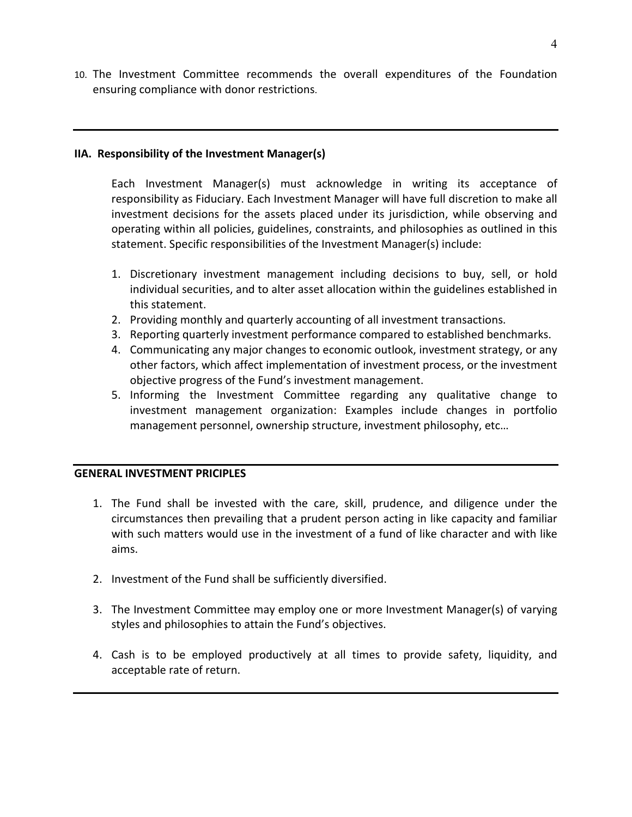10. The Investment Committee recommends the overall expenditures of the Foundation ensuring compliance with donor restrictions.

## **IIA. Responsibility of the Investment Manager(s)**

Each Investment Manager(s) must acknowledge in writing its acceptance of responsibility as Fiduciary. Each Investment Manager will have full discretion to make all investment decisions for the assets placed under its jurisdiction, while observing and operating within all policies, guidelines, constraints, and philosophies as outlined in this statement. Specific responsibilities of the Investment Manager(s) include:

- 1. Discretionary investment management including decisions to buy, sell, or hold individual securities, and to alter asset allocation within the guidelines established in this statement.
- 2. Providing monthly and quarterly accounting of all investment transactions.
- 3. Reporting quarterly investment performance compared to established benchmarks.
- 4. Communicating any major changes to economic outlook, investment strategy, or any other factors, which affect implementation of investment process, or the investment objective progress of the Fund's investment management.
- 5. Informing the Investment Committee regarding any qualitative change to investment management organization: Examples include changes in portfolio management personnel, ownership structure, investment philosophy, etc…

#### **GENERAL INVESTMENT PRICIPLES**

- 1. The Fund shall be invested with the care, skill, prudence, and diligence under the circumstances then prevailing that a prudent person acting in like capacity and familiar with such matters would use in the investment of a fund of like character and with like aims.
- 2. Investment of the Fund shall be sufficiently diversified.
- 3. The Investment Committee may employ one or more Investment Manager(s) of varying styles and philosophies to attain the Fund's objectives.
- 4. Cash is to be employed productively at all times to provide safety, liquidity, and acceptable rate of return.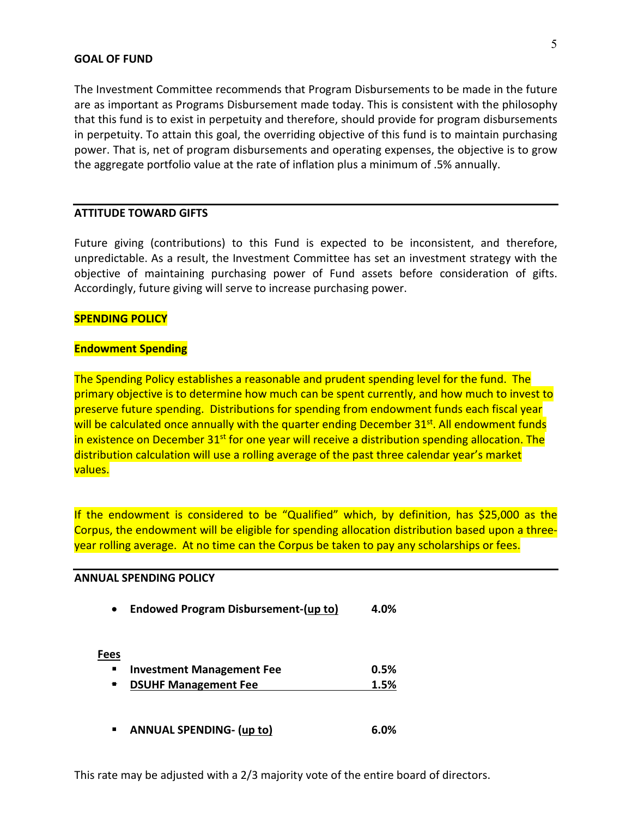#### **GOAL OF FUND**

The Investment Committee recommends that Program Disbursements to be made in the future are as important as Programs Disbursement made today. This is consistent with the philosophy that this fund is to exist in perpetuity and therefore, should provide for program disbursements in perpetuity. To attain this goal, the overriding objective of this fund is to maintain purchasing power. That is, net of program disbursements and operating expenses, the objective is to grow the aggregate portfolio value at the rate of inflation plus a minimum of .5% annually.

#### **ATTITUDE TOWARD GIFTS**

Future giving (contributions) to this Fund is expected to be inconsistent, and therefore, unpredictable. As a result, the Investment Committee has set an investment strategy with the objective of maintaining purchasing power of Fund assets before consideration of gifts. Accordingly, future giving will serve to increase purchasing power.

#### **SPENDING POLICY**

#### **Endowment Spending**

The Spending Policy establishes a reasonable and prudent spending level for the fund. The primary objective is to determine how much can be spent currently, and how much to invest to preserve future spending. Distributions for spending from endowment funds each fiscal year will be calculated once annually with the quarter ending December  $31^{st}$ . All endowment funds in existence on December 31<sup>st</sup> for one year will receive a distribution spending allocation. The distribution calculation will use a rolling average of the past three calendar year's market values.

If the endowment is considered to be "Qualified" which, by definition, has \$25,000 as the Corpus, the endowment will be eligible for spending allocation distribution based upon a threeyear rolling average. At no time can the Corpus be taken to pay any scholarships or fees.

#### **ANNUAL SPENDING POLICY**

| $\bullet$   | <b>Endowed Program Disbursement-(up to)</b> | 4.0% |
|-------------|---------------------------------------------|------|
| <b>Fees</b> |                                             |      |
|             | Investment Management Fee                   | 0.5% |
|             | <b>DSUHF Management Fee</b>                 | 1.5% |
| п           | <b>ANNUAL SPENDING- (up to)</b>             | 6.በ% |

This rate may be adjusted with a 2/3 majority vote of the entire board of directors.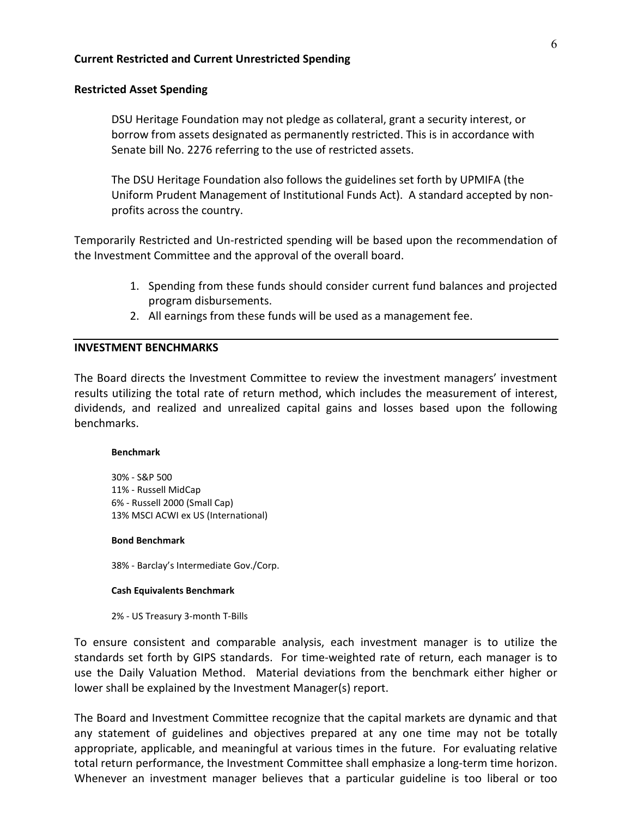#### **Current Restricted and Current Unrestricted Spending**

#### **Restricted Asset Spending**

DSU Heritage Foundation may not pledge as collateral, grant a security interest, or borrow from assets designated as permanently restricted. This is in accordance with Senate bill No. 2276 referring to the use of restricted assets.

The DSU Heritage Foundation also follows the guidelines set forth by UPMIFA (the Uniform Prudent Management of Institutional Funds Act). A standard accepted by nonprofits across the country.

Temporarily Restricted and Un-restricted spending will be based upon the recommendation of the Investment Committee and the approval of the overall board.

- 1. Spending from these funds should consider current fund balances and projected program disbursements.
- 2. All earnings from these funds will be used as a management fee.

#### **INVESTMENT BENCHMARKS**

The Board directs the Investment Committee to review the investment managers' investment results utilizing the total rate of return method, which includes the measurement of interest, dividends, and realized and unrealized capital gains and losses based upon the following benchmarks.

#### **Benchmark**

30% - S&P 500 11% - Russell MidCap 6% - Russell 2000 (Small Cap) 13% MSCI ACWI ex US (International)

#### **Bond Benchmark**

38% - Barclay's Intermediate Gov./Corp.

#### **Cash Equivalents Benchmark**

2% - US Treasury 3-month T-Bills

To ensure consistent and comparable analysis, each investment manager is to utilize the standards set forth by GIPS standards. For time-weighted rate of return, each manager is to use the Daily Valuation Method. Material deviations from the benchmark either higher or lower shall be explained by the Investment Manager(s) report.

The Board and Investment Committee recognize that the capital markets are dynamic and that any statement of guidelines and objectives prepared at any one time may not be totally appropriate, applicable, and meaningful at various times in the future. For evaluating relative total return performance, the Investment Committee shall emphasize a long-term time horizon. Whenever an investment manager believes that a particular guideline is too liberal or too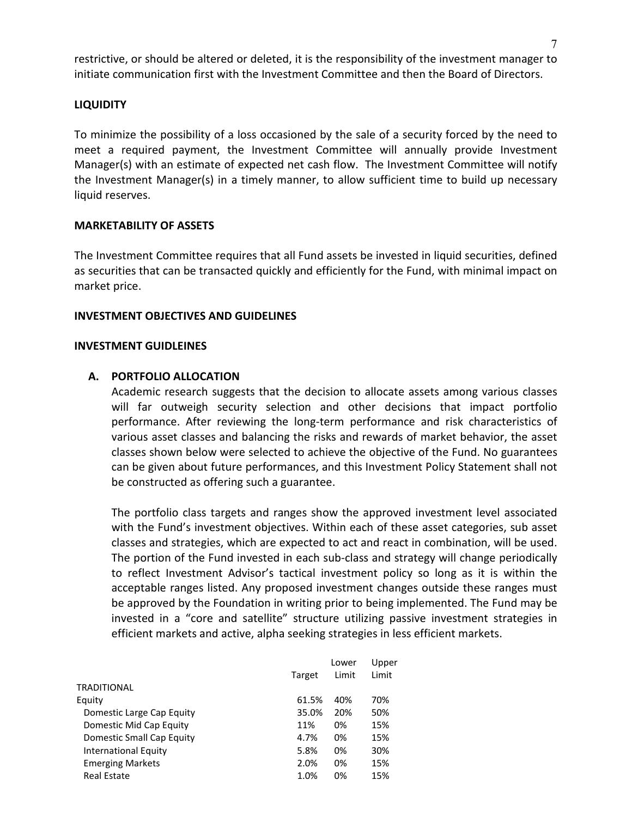restrictive, or should be altered or deleted, it is the responsibility of the investment manager to initiate communication first with the Investment Committee and then the Board of Directors.

## **LIQUIDITY**

To minimize the possibility of a loss occasioned by the sale of a security forced by the need to meet a required payment, the Investment Committee will annually provide Investment Manager(s) with an estimate of expected net cash flow. The Investment Committee will notify the Investment Manager(s) in a timely manner, to allow sufficient time to build up necessary liquid reserves.

#### **MARKETABILITY OF ASSETS**

The Investment Committee requires that all Fund assets be invested in liquid securities, defined as securities that can be transacted quickly and efficiently for the Fund, with minimal impact on market price.

#### **INVESTMENT OBJECTIVES AND GUIDELINES**

#### **INVESTMENT GUIDLEINES**

#### **A. PORTFOLIO ALLOCATION**

Academic research suggests that the decision to allocate assets among various classes will far outweigh security selection and other decisions that impact portfolio performance. After reviewing the long-term performance and risk characteristics of various asset classes and balancing the risks and rewards of market behavior, the asset classes shown below were selected to achieve the objective of the Fund. No guarantees can be given about future performances, and this Investment Policy Statement shall not be constructed as offering such a guarantee.

The portfolio class targets and ranges show the approved investment level associated with the Fund's investment objectives. Within each of these asset categories, sub asset classes and strategies, which are expected to act and react in combination, will be used. The portion of the Fund invested in each sub-class and strategy will change periodically to reflect Investment Advisor's tactical investment policy so long as it is within the acceptable ranges listed. Any proposed investment changes outside these ranges must be approved by the Foundation in writing prior to being implemented. The Fund may be invested in a "core and satellite" structure utilizing passive investment strategies in efficient markets and active, alpha seeking strategies in less efficient markets.

|                             |        | Lower | Upper |
|-----------------------------|--------|-------|-------|
|                             | Target | Limit | Limit |
| <b>TRADITIONAL</b>          |        |       |       |
| Equity                      | 61.5%  | 40%   | 70%   |
| Domestic Large Cap Equity   | 35.0%  | 20%   | 50%   |
| Domestic Mid Cap Equity     | 11%    | 0%    | 15%   |
| Domestic Small Cap Equity   | 4.7%   | 0%    | 15%   |
| <b>International Equity</b> | 5.8%   | 0%    | 30%   |
| <b>Emerging Markets</b>     | 2.0%   | 0%    | 15%   |
| <b>Real Estate</b>          | 1.0%   | 0%    | 15%   |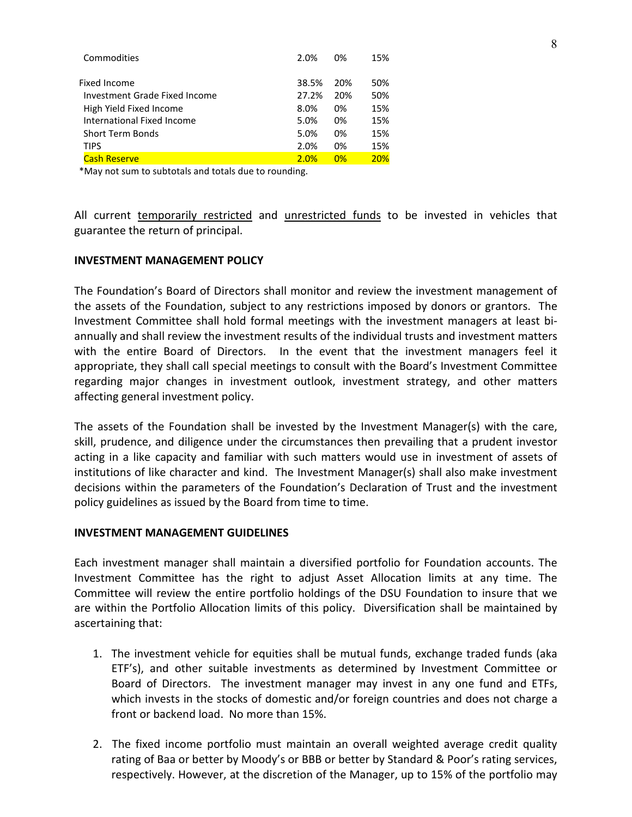| Commodities                   | 2.0%  | በ%  | 15% |
|-------------------------------|-------|-----|-----|
| Fixed Income                  | 38.5% | 20% | 50% |
| Investment Grade Fixed Income | 27.2% | 20% | 50% |
| High Yield Fixed Income       | 8.0%  | 0%  | 15% |
| International Fixed Income    | 5.0%  | 0%  | 15% |
| <b>Short Term Bonds</b>       | 5.0%  | በ%  | 15% |
| <b>TIPS</b>                   | 2.0%  | 0%  | 15% |
| <b>Cash Reserve</b>           | 2.0%  | 0%  | 20% |

\*May not sum to subtotals and totals due to rounding.

All current temporarily restricted and unrestricted funds to be invested in vehicles that guarantee the return of principal.

#### **INVESTMENT MANAGEMENT POLICY**

The Foundation's Board of Directors shall monitor and review the investment management of the assets of the Foundation, subject to any restrictions imposed by donors or grantors. The Investment Committee shall hold formal meetings with the investment managers at least biannually and shall review the investment results of the individual trusts and investment matters with the entire Board of Directors. In the event that the investment managers feel it appropriate, they shall call special meetings to consult with the Board's Investment Committee regarding major changes in investment outlook, investment strategy, and other matters affecting general investment policy.

The assets of the Foundation shall be invested by the Investment Manager(s) with the care, skill, prudence, and diligence under the circumstances then prevailing that a prudent investor acting in a like capacity and familiar with such matters would use in investment of assets of institutions of like character and kind. The Investment Manager(s) shall also make investment decisions within the parameters of the Foundation's Declaration of Trust and the investment policy guidelines as issued by the Board from time to time.

#### **INVESTMENT MANAGEMENT GUIDELINES**

Each investment manager shall maintain a diversified portfolio for Foundation accounts. The Investment Committee has the right to adjust Asset Allocation limits at any time. The Committee will review the entire portfolio holdings of the DSU Foundation to insure that we are within the Portfolio Allocation limits of this policy. Diversification shall be maintained by ascertaining that:

- 1. The investment vehicle for equities shall be mutual funds, exchange traded funds (aka ETF's), and other suitable investments as determined by Investment Committee or Board of Directors. The investment manager may invest in any one fund and ETFs, which invests in the stocks of domestic and/or foreign countries and does not charge a front or backend load. No more than 15%.
- 2. The fixed income portfolio must maintain an overall weighted average credit quality rating of Baa or better by Moody's or BBB or better by Standard & Poor's rating services, respectively. However, at the discretion of the Manager, up to 15% of the portfolio may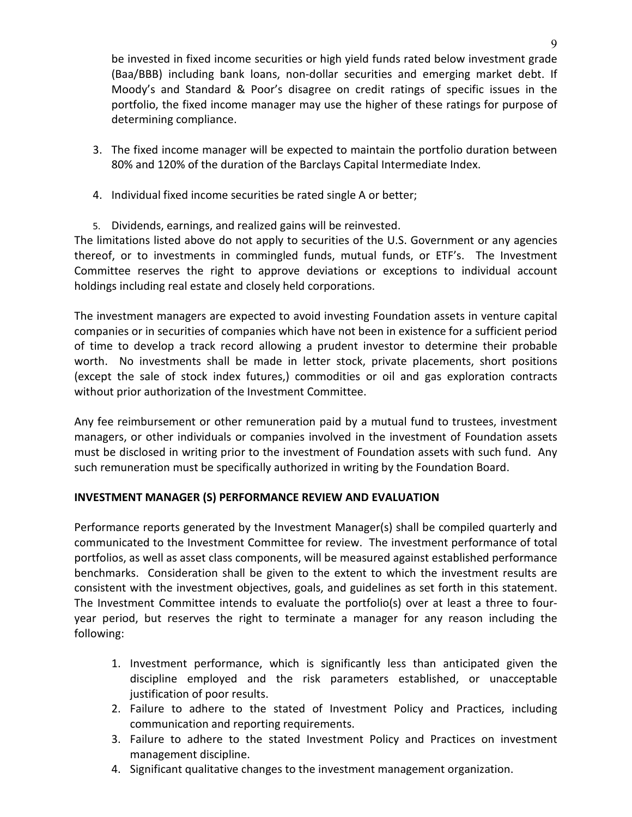be invested in fixed income securities or high yield funds rated below investment grade (Baa/BBB) including bank loans, non-dollar securities and emerging market debt. If Moody's and Standard & Poor's disagree on credit ratings of specific issues in the portfolio, the fixed income manager may use the higher of these ratings for purpose of determining compliance.

- 3. The fixed income manager will be expected to maintain the portfolio duration between 80% and 120% of the duration of the Barclays Capital Intermediate Index.
- 4. Individual fixed income securities be rated single A or better;
- 5. Dividends, earnings, and realized gains will be reinvested.

The limitations listed above do not apply to securities of the U.S. Government or any agencies thereof, or to investments in commingled funds, mutual funds, or ETF's. The Investment Committee reserves the right to approve deviations or exceptions to individual account holdings including real estate and closely held corporations.

The investment managers are expected to avoid investing Foundation assets in venture capital companies or in securities of companies which have not been in existence for a sufficient period of time to develop a track record allowing a prudent investor to determine their probable worth. No investments shall be made in letter stock, private placements, short positions (except the sale of stock index futures,) commodities or oil and gas exploration contracts without prior authorization of the Investment Committee.

Any fee reimbursement or other remuneration paid by a mutual fund to trustees, investment managers, or other individuals or companies involved in the investment of Foundation assets must be disclosed in writing prior to the investment of Foundation assets with such fund. Any such remuneration must be specifically authorized in writing by the Foundation Board.

## **INVESTMENT MANAGER (S) PERFORMANCE REVIEW AND EVALUATION**

Performance reports generated by the Investment Manager(s) shall be compiled quarterly and communicated to the Investment Committee for review. The investment performance of total portfolios, as well as asset class components, will be measured against established performance benchmarks. Consideration shall be given to the extent to which the investment results are consistent with the investment objectives, goals, and guidelines as set forth in this statement. The Investment Committee intends to evaluate the portfolio(s) over at least a three to fouryear period, but reserves the right to terminate a manager for any reason including the following:

- 1. Investment performance, which is significantly less than anticipated given the discipline employed and the risk parameters established, or unacceptable justification of poor results.
- 2. Failure to adhere to the stated of Investment Policy and Practices, including communication and reporting requirements.
- 3. Failure to adhere to the stated Investment Policy and Practices on investment management discipline.
- 4. Significant qualitative changes to the investment management organization.